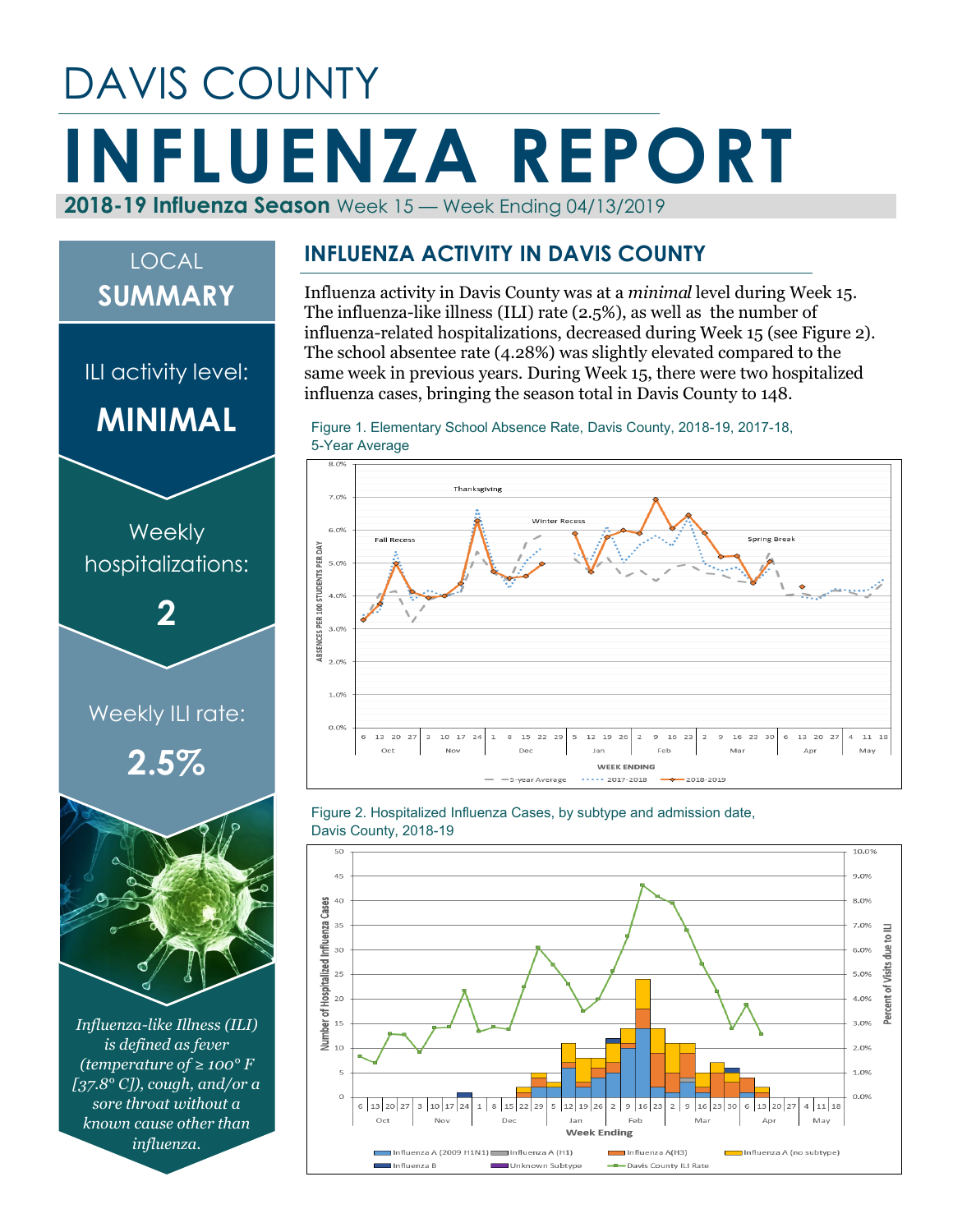## DAVIS COUNTY **INFLUENZA REPORT 2018-19 Influenza Season** Week 15 — Week Ending 04/13/2019

# *Influenza-like Illness (ILI) is defined as fever*  Weekly ILI rate: **2.5% Weekly** hospitalizations: **2** ILI activity level: **MINIMAL** LOCAL **SUMMARY**

*(temperature of ≥ 100° F [37.8° C]), cough, and/or a sore throat without a known cause other than influenza.*

#### **INFLUENZA ACTIVITY IN DAVIS COUNTY**

Influenza activity in Davis County was at a *minimal* level during Week 15. The influenza-like illness (ILI) rate (2.5%), as well as the number of influenza-related hospitalizations, decreased during Week 15 (see Figure 2). The school absentee rate (4.28%) was slightly elevated compared to the same week in previous years. During Week 15, there were two hospitalized influenza cases, bringing the season total in Davis County to 148.